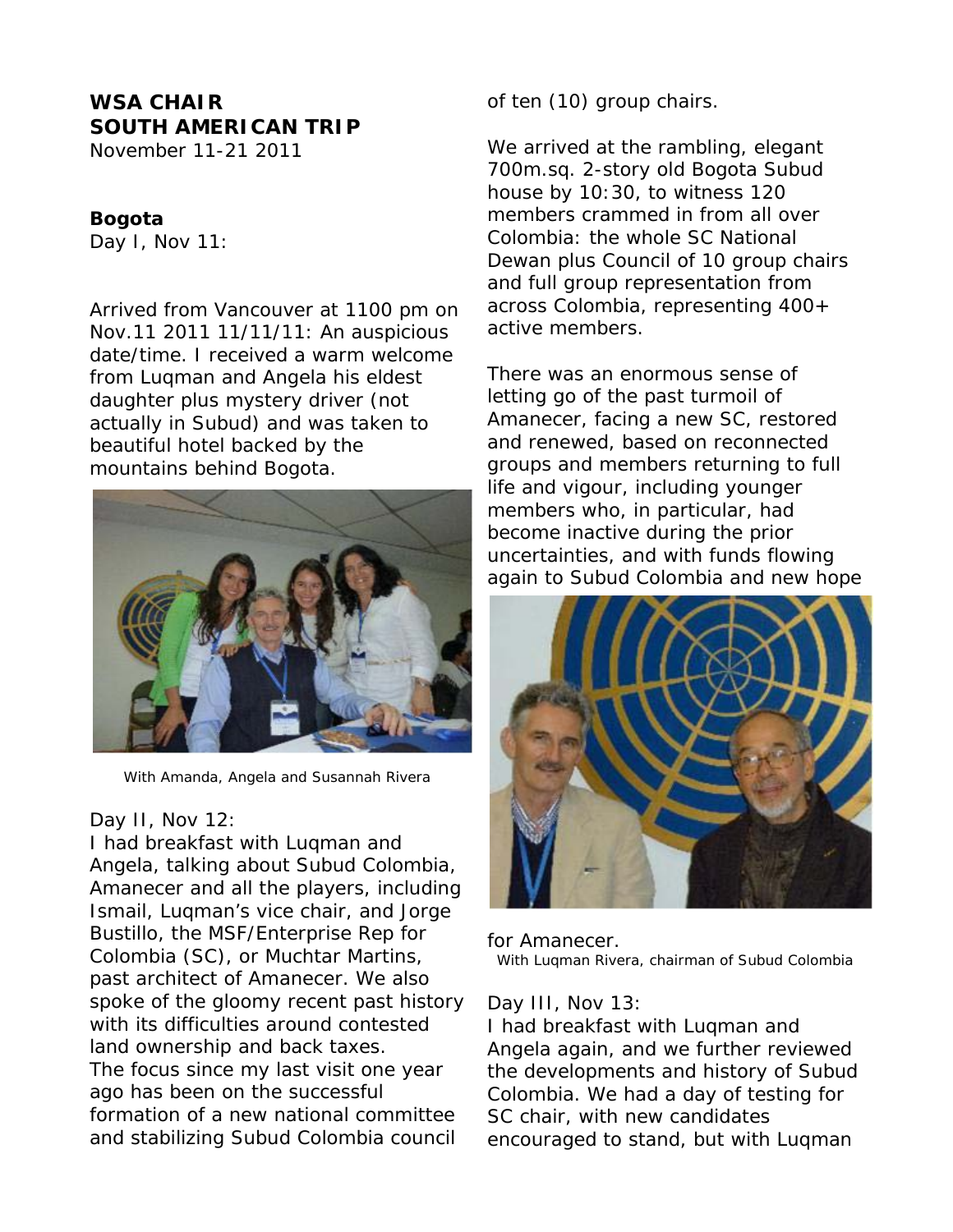# **WSA CHAIR SOUTH AMERICAN TRIP**

November 11-21 2011

### **Bogota**

Day I, Nov 11:

Arrived from Vancouver at 1100 pm on Nov.11 2011 11/11/11: An auspicious date/time. I received a warm welcome from Luqman and Angela his eldest daughter plus mystery driver (not actually in Subud) and was taken to beautiful hotel backed by the mountains behind Bogota.



With Amanda, Angela and Susannah Rivera

#### Day II, Nov 12:

I had breakfast with Luqman and Angela, talking about Subud Colombia, Amanecer and all the players, including Ismail, Luqman's vice chair, and Jorge Bustillo, the MSF/Enterprise Rep for Colombia (SC), or Muchtar Martins, past architect of Amanecer. We also spoke of the gloomy recent past history with its difficulties around contested land ownership and back taxes. The focus since my last visit one year ago has been on the successful formation of a new national committee and stabilizing Subud Colombia council

of ten (10) group chairs.

We arrived at the rambling, elegant 700m.sq. 2-story old Bogota Subud house by 10:30, to witness 120 members crammed in from all over Colombia: the whole SC National Dewan plus Council of 10 group chairs and full group representation from across Colombia, representing 400+ active members.

There was an enormous sense of letting go of the past turmoil of Amanecer, facing a new SC, restored and renewed, based on reconnected groups and members returning to full life and vigour, including younger members who, in particular, had become inactive during the prior uncertainties, and with funds flowing again to Subud Colombia and new hope



for Amanecer. With Luqman Rivera, chairman of Subud Colombia

#### Day III, Nov 13:

I had breakfast with Luqman and Angela again, and we further reviewed the developments and history of Subud Colombia. We had a day of testing for SC chair, with new candidates encouraged to stand, but with Luqman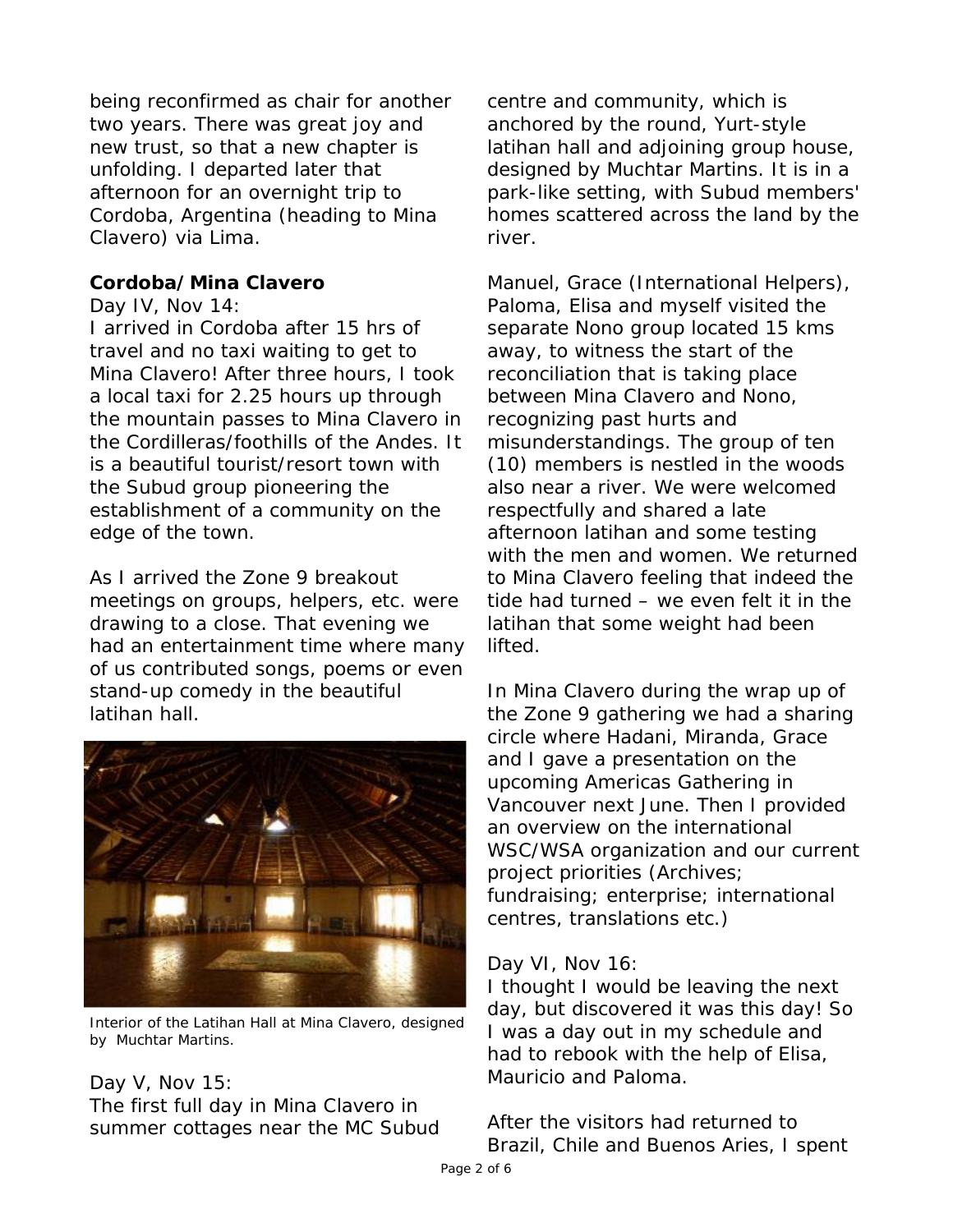being reconfirmed as chair for another two years. There was great joy and new trust, so that a new chapter is unfolding. I departed later that afternoon for an overnight trip to Cordoba, Argentina (heading to Mina Clavero) via Lima.

## **Cordoba/Mina Clavero**

Day IV, Nov 14:

I arrived in Cordoba after 15 hrs of travel and no taxi waiting to get to Mina Clavero! After three hours, I took a local taxi for 2.25 hours up through the mountain passes to Mina Clavero in the Cordilleras/foothills of the Andes. It is a beautiful tourist/resort town with the Subud group pioneering the establishment of a community on the edge of the town.

As I arrived the Zone 9 breakout meetings on groups, helpers, etc. were drawing to a close. That evening we had an entertainment time where many of us contributed songs, poems or even stand-up comedy in the beautiful latihan hall.



Interior of the Latihan Hall at Mina Clavero, designed by Muchtar Martins.

## Day V, Nov 15:

The first full day in Mina Clavero in summer cottages near the MC Subud centre and community, which is anchored by the round, Yurt-style latihan hall and adjoining group house, designed by Muchtar Martins. It is in a park-like setting, with Subud members' homes scattered across the land by the river.

Manuel, Grace (International Helpers), Paloma, Elisa and myself visited the separate Nono group located 15 kms away, to witness the start of the reconciliation that is taking place between Mina Clavero and Nono, recognizing past hurts and misunderstandings. The group of ten (10) members is nestled in the woods also near a river. We were welcomed respectfully and shared a late afternoon latihan and some testing with the men and women. We returned to Mina Clavero feeling that indeed the tide had turned – we even felt it in the latihan that some weight had been lifted.

In Mina Clavero during the wrap up of the Zone 9 gathering we had a sharing circle where Hadani, Miranda, Grace and I gave a presentation on the upcoming Americas Gathering in Vancouver next June. Then I provided an overview on the international WSC/WSA organization and our current project priorities (Archives; fundraising; enterprise; international centres, translations etc.)

## Day VI, Nov 16:

I thought I would be leaving the next day, but discovered it was this day! So I was a day out in my schedule and had to rebook with the help of Elisa, Mauricio and Paloma.

After the visitors had returned to Brazil, Chile and Buenos Aries, I spent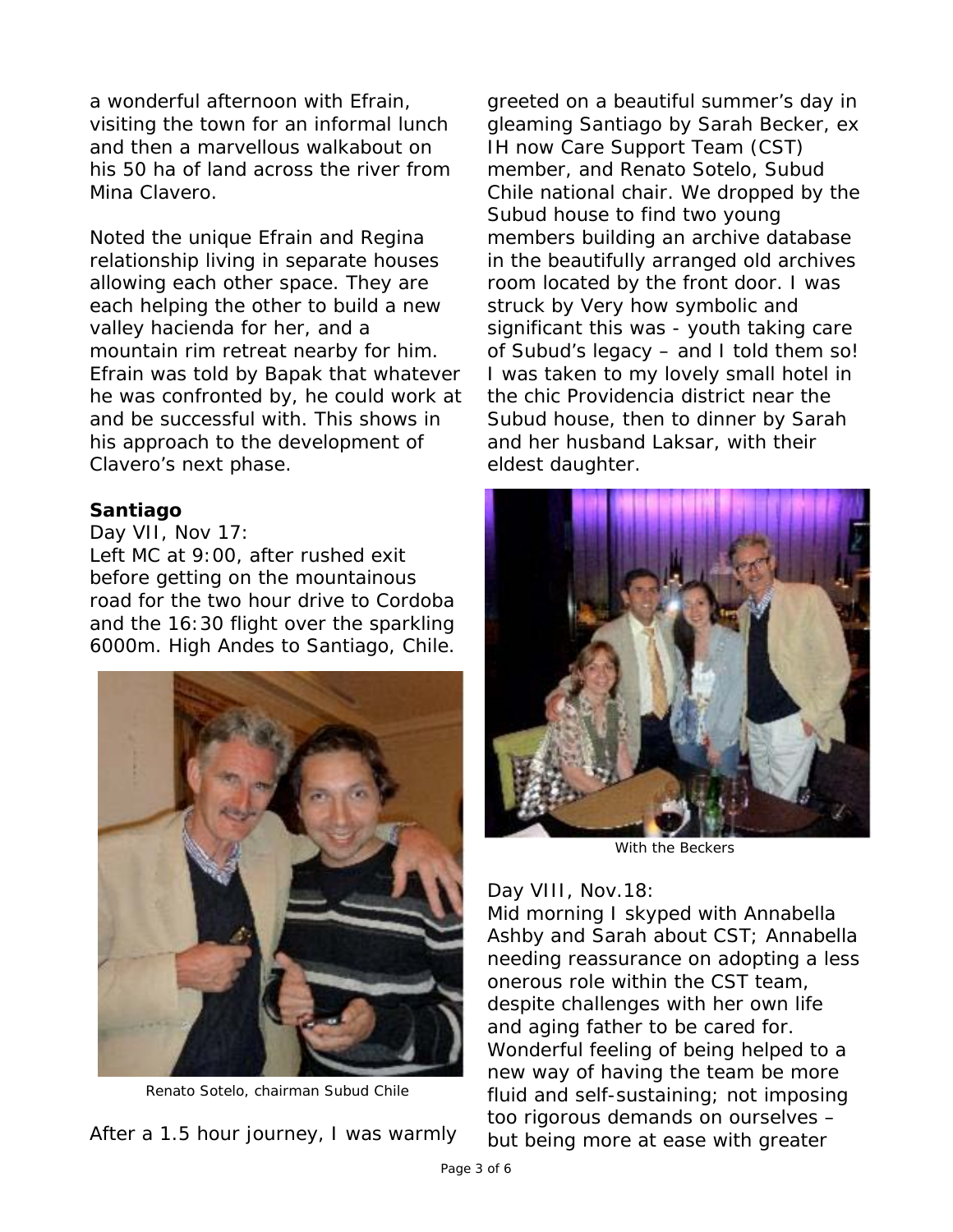a wonderful afternoon with Efrain, visiting the town for an informal lunch and then a marvellous walkabout on his 50 ha of land across the river from Mina Clavero.

Noted the unique Efrain and Regina relationship living in separate houses allowing each other space. They are each helping the other to build a new valley hacienda for her, and a mountain rim retreat nearby for him. Efrain was told by Bapak that whatever he was confronted by, he could work at and be successful with. This shows in his approach to the development of Clavero's next phase.

### **Santiago**

Day VII, Nov 17: Left MC at 9:00, after rushed exit before getting on the mountainous road for the two hour drive to Cordoba and the 16:30 flight over the sparkling 6000m. High Andes to Santiago, Chile.



Renato Sotelo, chairman Subud Chile

After a 1.5 hour journey, I was warmly

greeted on a beautiful summer's day in gleaming Santiago by Sarah Becker, ex IH now Care Support Team (CST) member, and Renato Sotelo, Subud Chile national chair. We dropped by the Subud house to find two young members building an archive database in the beautifully arranged old archives room located by the front door. I was struck by Very how symbolic and significant this was - youth taking care of Subud's legacy – and I told them so! I was taken to my lovely small hotel in the chic Providencia district near the Subud house, then to dinner by Sarah and her husband Laksar, with their eldest daughter.



With the Beckers

### Day VIII, Nov. 18:

Mid morning I skyped with Annabella Ashby and Sarah about CST; Annabella needing reassurance on adopting a less onerous role within the CST team, despite challenges with her own life and aging father to be cared for. Wonderful feeling of being helped to a new way of having the team be more fluid and self-sustaining; not imposing too rigorous demands on ourselves – but being more at ease with greater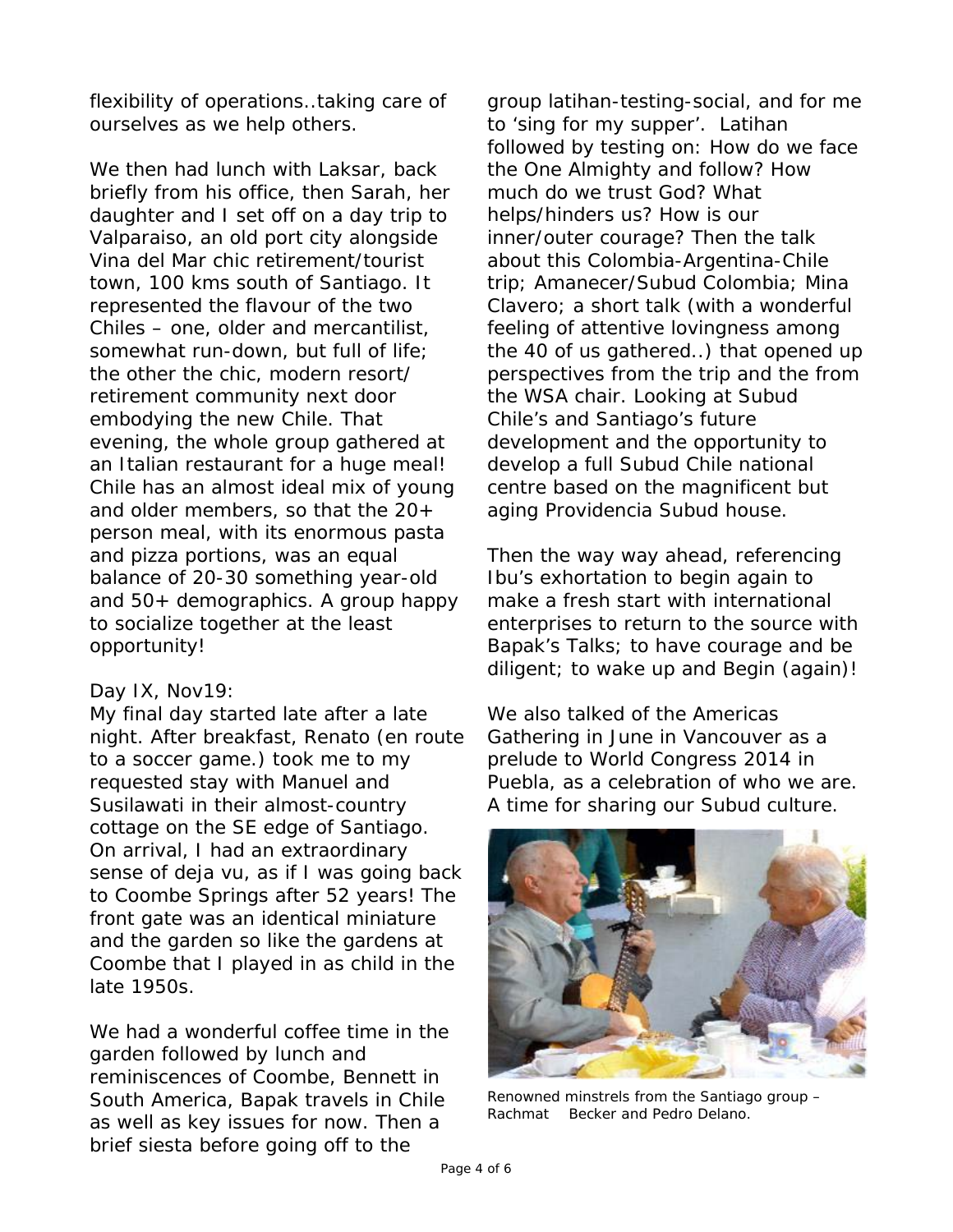flexibility of operations..taking care of ourselves as we help others.

We then had lunch with Laksar, back briefly from his office, then Sarah, her daughter and I set off on a day trip to Valparaiso, an old port city alongside Vina del Mar chic retirement/tourist town, 100 kms south of Santiago. It represented the flavour of the two Chiles – one, older and mercantilist, somewhat run-down, but full of life; the other the chic, modern resort/ retirement community next door embodying the new Chile. That evening, the whole group gathered at an Italian restaurant for a huge meal! Chile has an almost ideal mix of young and older members, so that the 20+ person meal, with its enormous pasta and pizza portions, was an equal balance of 20-30 something year-old and 50+ demographics. A group happy to socialize together at the least opportunity!

### Day IX, Nov19:

My final day started late after a late night. After breakfast, Renato (en route to a soccer game.) took me to my requested stay with Manuel and Susilawati in their almost-country cottage on the SE edge of Santiago. On arrival, I had an extraordinary sense of deja vu, as if I was going back to Coombe Springs after 52 years! The front gate was an identical miniature and the garden so like the gardens at Coombe that I played in as child in the late 1950s.

We had a wonderful coffee time in the garden followed by lunch and reminiscences of Coombe, Bennett in South America, Bapak travels in Chile as well as key issues for now. Then a brief siesta before going off to the

group latihan-testing-social, and for me to 'sing for my supper'. Latihan followed by testing on: How do we face the One Almighty and follow? How much do we trust God? What helps/hinders us? How is our inner/outer courage? Then the talk about this Colombia-Argentina-Chile trip; Amanecer/Subud Colombia; Mina Clavero; a short talk (with a wonderful feeling of attentive lovingness among the 40 of us gathered..) that opened up perspectives from the trip and the from the WSA chair. Looking at Subud Chile's and Santiago's future development and the opportunity to develop a full Subud Chile national centre based on the magnificent but aging Providencia Subud house.

Then the way way ahead, referencing Ibu's exhortation to begin again to make a fresh start with international enterprises to return to the source with Bapak's Talks; to have courage and be diligent; to wake up and Begin (again)!

We also talked of the Americas Gathering in June in Vancouver as a prelude to World Congress 2014 in Puebla, as a celebration of who we are. A time for sharing our Subud culture.



Renowned minstrels from the Santiago group – Rachmat Becker and Pedro Delano.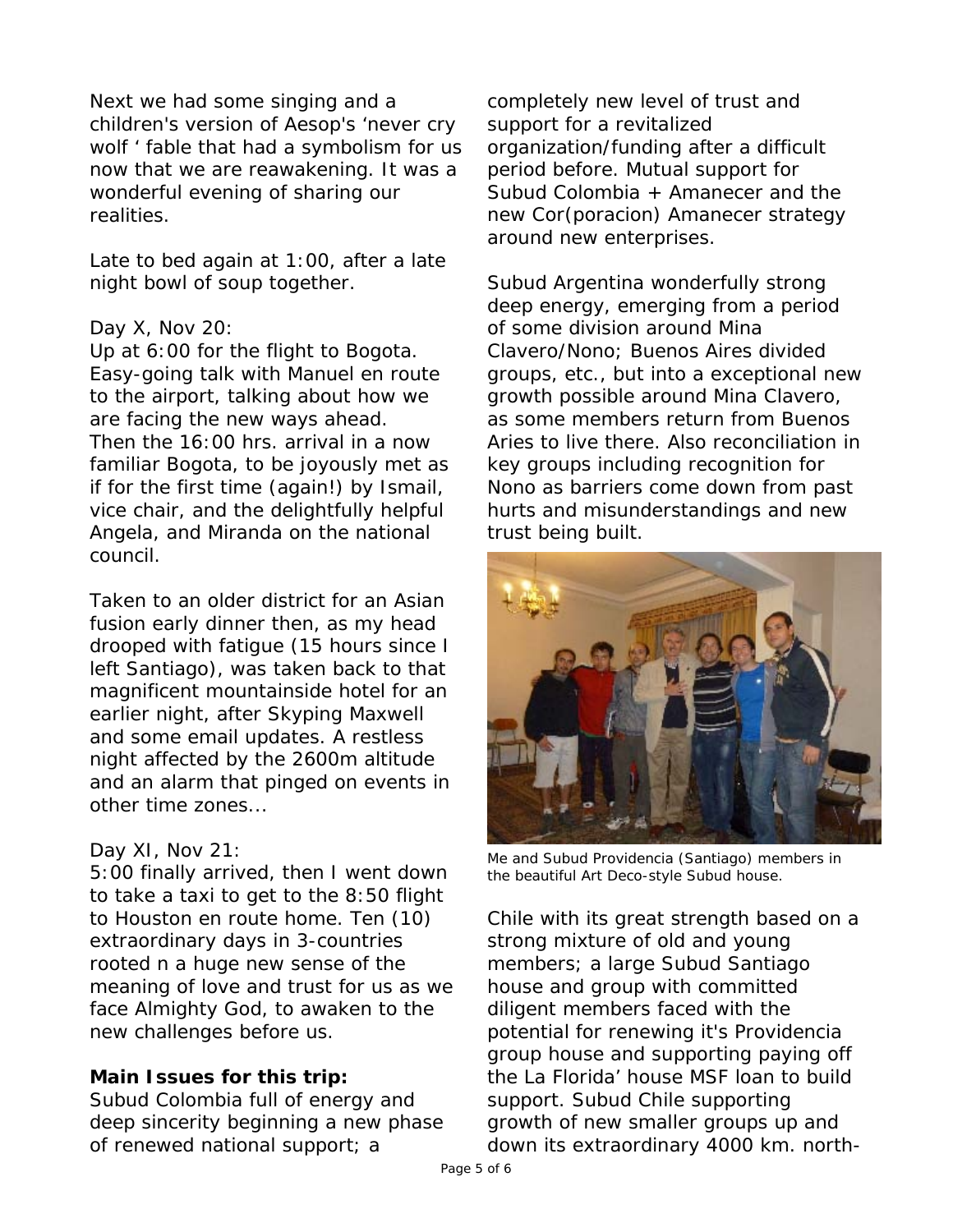Next we had some singing and a children's version of Aesop's 'never cry wolf ' fable that had a symbolism for us now that we are reawakening. It was a wonderful evening of sharing our realities.

Late to bed again at 1:00, after a late night bowl of soup together.

## Day X, Nov 20:

Up at 6:00 for the flight to Bogota. Easy-going talk with Manuel en route to the airport, talking about how we are facing the new ways ahead. Then the 16:00 hrs. arrival in a now familiar Bogota, to be joyously met as if for the first time (again!) by Ismail, vice chair, and the delightfully helpful Angela, and Miranda on the national council.

Taken to an older district for an Asian fusion early dinner then, as my head drooped with fatigue (15 hours since I left Santiago), was taken back to that magnificent mountainside hotel for an earlier night, after Skyping Maxwell and some email updates. A restless night affected by the 2600m altitude and an alarm that pinged on events in other time zones...

## Day XI, Nov 21:

5:00 finally arrived, then I went down to take a taxi to get to the 8:50 flight to Houston en route home. Ten (10) extraordinary days in 3-countries rooted n a huge new sense of the meaning of love and trust for us as we face Almighty God, to awaken to the new challenges before us.

## **Main Issues for this trip:**

Subud Colombia full of energy and deep sincerity beginning a new phase of renewed national support; a

completely new level of trust and support for a revitalized organization/funding after a difficult period before. Mutual support for Subud Colombia + Amanecer and the new Cor(poracion) Amanecer strategy around new enterprises.

Subud Argentina wonderfully strong deep energy, emerging from a period of some division around Mina Clavero/Nono; Buenos Aires divided groups, etc., but into a exceptional new growth possible around Mina Clavero, as some members return from Buenos Aries to live there. Also reconciliation in key groups including recognition for Nono as barriers come down from past hurts and misunderstandings and new trust being built.



Me and Subud Providencia (Santiago) members in the beautiful Art Deco-style Subud house.

Chile with its great strength based on a strong mixture of old and young members; a large Subud Santiago house and group with committed diligent members faced with the potential for renewing it's Providencia group house and supporting paying off the La Florida' house MSF loan to build support. Subud Chile supporting growth of new smaller groups up and down its extraordinary 4000 km. north